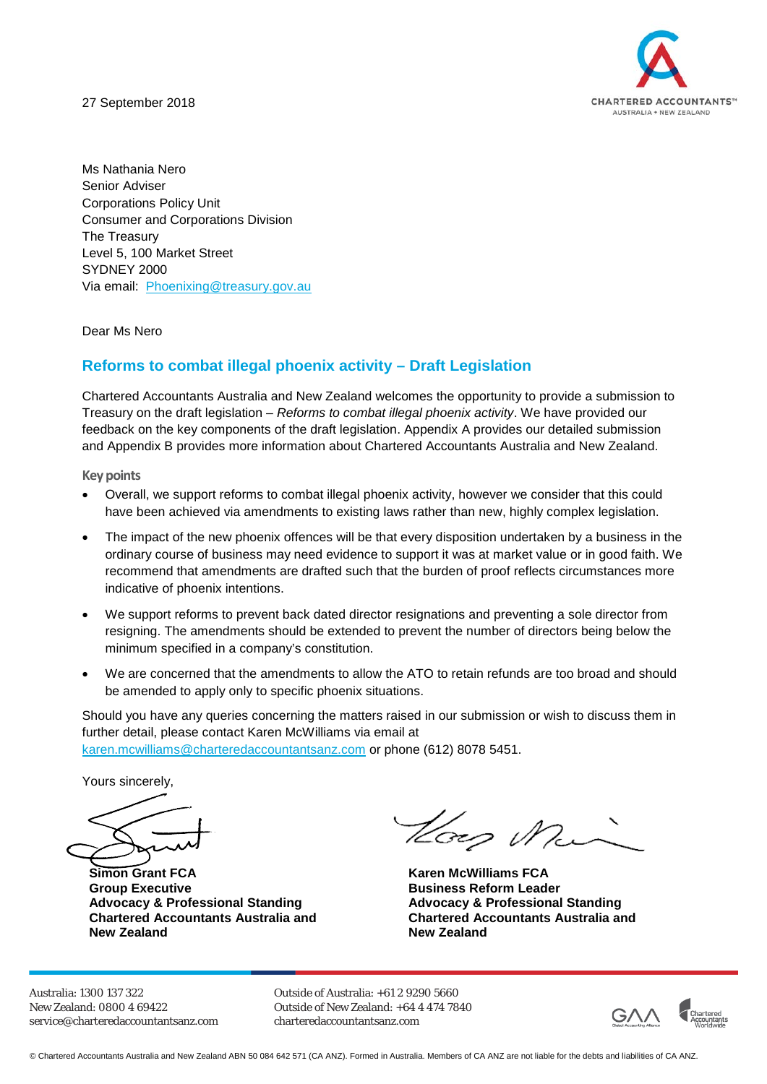27 September 2018



Ms Nathania Nero Senior Adviser Corporations Policy Unit Consumer and Corporations Division The Treasury Level 5, 100 Market Street SYDNEY 2000 Via email: [Phoenixing@treasury.gov.au](mailto:Phoenixing@treasury.gov.au)

Dear Ms Nero

### **Reforms to combat illegal phoenix activity – Draft Legislation**

Chartered Accountants Australia and New Zealand welcomes the opportunity to provide a submission to Treasury on the draft legislation – *Reforms to combat illegal phoenix activity*. We have provided our feedback on the key components of the draft legislation. Appendix A provides our detailed submission and Appendix B provides more information about Chartered Accountants Australia and New Zealand.

**Key points**

- Overall, we support reforms to combat illegal phoenix activity, however we consider that this could have been achieved via amendments to existing laws rather than new, highly complex legislation.
- The impact of the new phoenix offences will be that every disposition undertaken by a business in the ordinary course of business may need evidence to support it was at market value or in good faith. We recommend that amendments are drafted such that the burden of proof reflects circumstances more indicative of phoenix intentions.
- We support reforms to prevent back dated director resignations and preventing a sole director from resigning. The amendments should be extended to prevent the number of directors being below the minimum specified in a company's constitution.
- We are concerned that the amendments to allow the ATO to retain refunds are too broad and should be amended to apply only to specific phoenix situations.

Should you have any queries concerning the matters raised in our submission or wish to discuss them in further detail, please contact Karen McWilliams via email at [karen.mcwilliams@charteredaccountantsanz.com](mailto:karen.mcwilliams@charteredaccountantsanz.com) or phone (612) 8078 5451.

Yours sincerely,

**Simon Grant FCA Karen McWilliams FCA Group Executive Advocacy & Professional Standing Chartered Accountants Australia and New Zealand**

Hoes Min

**Business Reform Leader Advocacy & Professional Standing Chartered Accountants Australia and New Zealand**

Australia: 1300 137 322 New Zealand: 0800 4 69422 [service@charteredaccountantsanz.com](mailto:service@charteredaccountantsanz.com) Outside of Australia: +61 2 9290 5660 Outside of New Zealand: +64 4 474 7840 charteredaccountantsanz.com



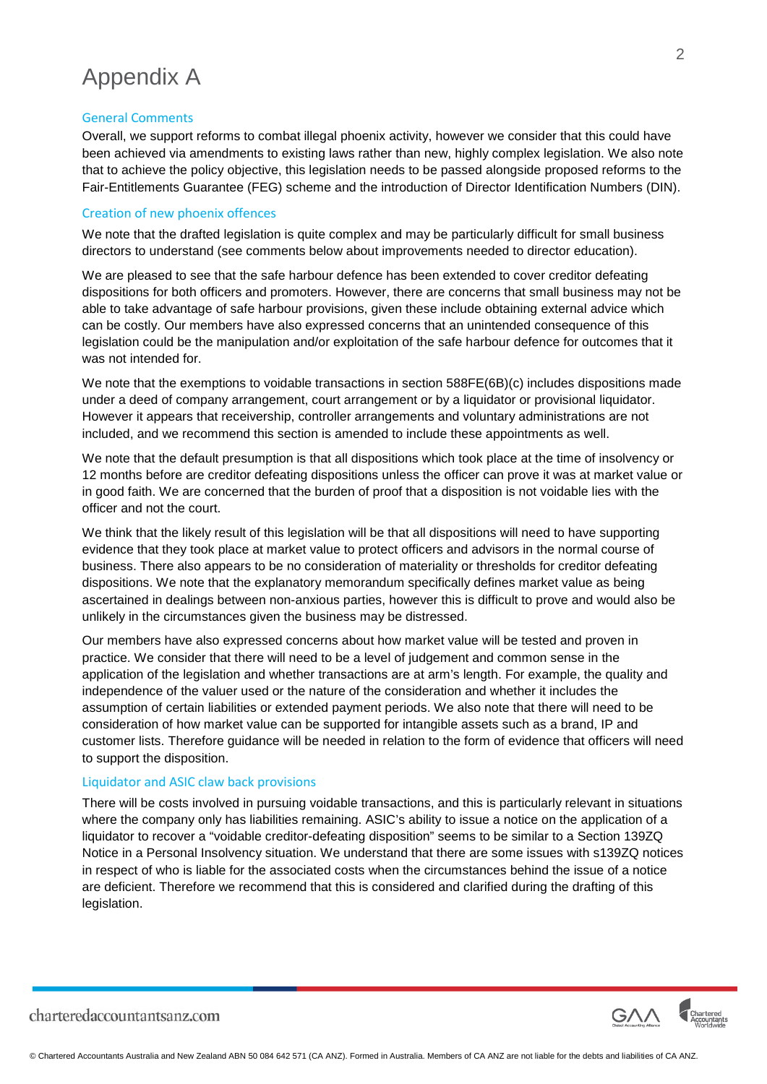### Appendix A

#### General Comments

Overall, we support reforms to combat illegal phoenix activity, however we consider that this could have been achieved via amendments to existing laws rather than new, highly complex legislation. We also note that to achieve the policy objective, this legislation needs to be passed alongside proposed reforms to the Fair-Entitlements Guarantee (FEG) scheme and the introduction of Director Identification Numbers (DIN).

#### Creation of new phoenix offences

We note that the drafted legislation is quite complex and may be particularly difficult for small business directors to understand (see comments below about improvements needed to director education).

We are pleased to see that the safe harbour defence has been extended to cover creditor defeating dispositions for both officers and promoters. However, there are concerns that small business may not be able to take advantage of safe harbour provisions, given these include obtaining external advice which can be costly. Our members have also expressed concerns that an unintended consequence of this legislation could be the manipulation and/or exploitation of the safe harbour defence for outcomes that it was not intended for.

We note that the exemptions to voidable transactions in section 588FE(6B)(c) includes dispositions made under a deed of company arrangement, court arrangement or by a liquidator or provisional liquidator. However it appears that receivership, controller arrangements and voluntary administrations are not included, and we recommend this section is amended to include these appointments as well.

We note that the default presumption is that all dispositions which took place at the time of insolvency or 12 months before are creditor defeating dispositions unless the officer can prove it was at market value or in good faith. We are concerned that the burden of proof that a disposition is not voidable lies with the officer and not the court.

We think that the likely result of this legislation will be that all dispositions will need to have supporting evidence that they took place at market value to protect officers and advisors in the normal course of business. There also appears to be no consideration of materiality or thresholds for creditor defeating dispositions. We note that the explanatory memorandum specifically defines market value as being ascertained in dealings between non-anxious parties, however this is difficult to prove and would also be unlikely in the circumstances given the business may be distressed.

Our members have also expressed concerns about how market value will be tested and proven in practice. We consider that there will need to be a level of judgement and common sense in the application of the legislation and whether transactions are at arm's length. For example, the quality and independence of the valuer used or the nature of the consideration and whether it includes the assumption of certain liabilities or extended payment periods. We also note that there will need to be consideration of how market value can be supported for intangible assets such as a brand, IP and customer lists. Therefore guidance will be needed in relation to the form of evidence that officers will need to support the disposition.

#### Liquidator and ASIC claw back provisions

There will be costs involved in pursuing voidable transactions, and this is particularly relevant in situations where the company only has liabilities remaining. ASIC's ability to issue a notice on the application of a liquidator to recover a "voidable creditor-defeating disposition" seems to be similar to a Section 139ZQ Notice in a Personal Insolvency situation. We understand that there are some issues with s139ZQ notices in respect of who is liable for the associated costs when the circumstances behind the issue of a notice are deficient. Therefore we recommend that this is considered and clarified during the drafting of this legislation.

charteredaccountantsanz.com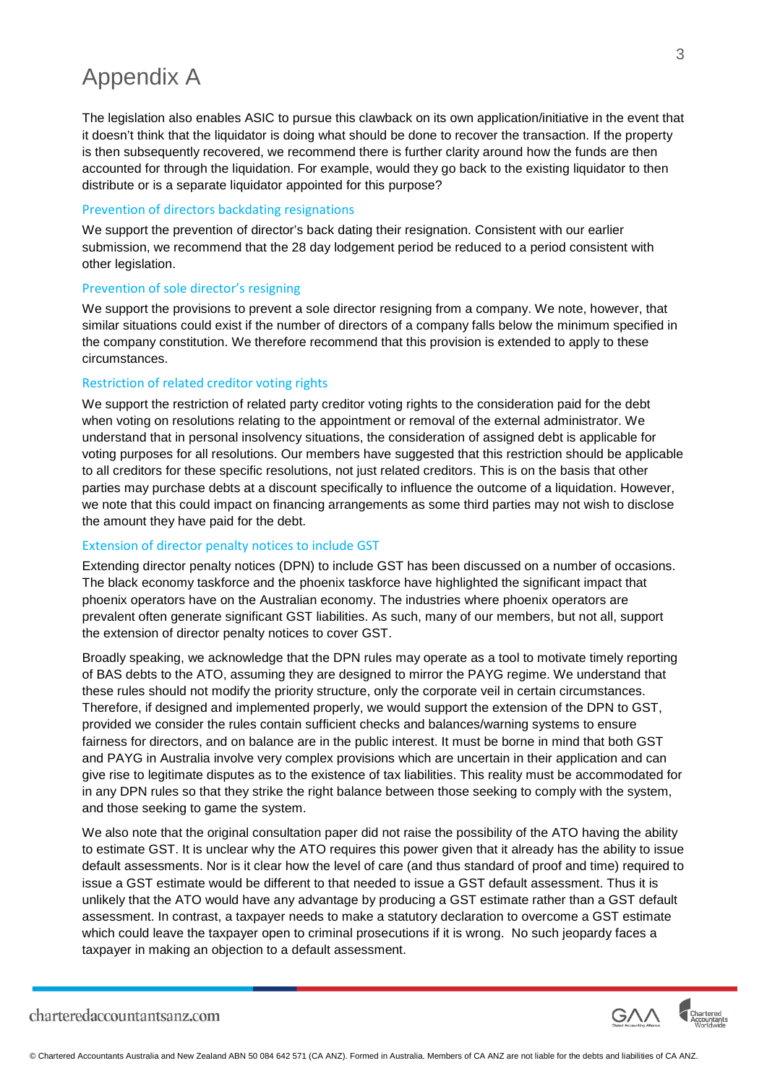## Appendix A

The legislation also enables ASIC to pursue this clawback on its own application/initiative in the event that it doesn't think that the liquidator is doing what should be done to recover the transaction. If the property is then subsequently recovered, we recommend there is further clarity around how the funds are then accounted for through the liquidation. For example, would they go back to the existing liquidator to then distribute or is a separate liquidator appointed for this purpose?

#### Prevention of directors backdating resignations

We support the prevention of director's back dating their resignation. Consistent with our earlier submission, we recommend that the 28 day lodgement period be reduced to a period consistent with other legislation.

#### Prevention of sole director's resigning

We support the provisions to prevent a sole director resigning from a company. We note, however, that similar situations could exist if the number of directors of a company falls below the minimum specified in the company constitution. We therefore recommend that this provision is extended to apply to these circumstances.

#### Restriction of related creditor voting rights

We support the restriction of related party creditor voting rights to the consideration paid for the debt when voting on resolutions relating to the appointment or removal of the external administrator. We understand that in personal insolvency situations, the consideration of assigned debt is applicable for voting purposes for all resolutions. Our members have suggested that this restriction should be applicable to all creditors for these specific resolutions, not just related creditors. This is on the basis that other parties may purchase debts at a discount specifically to influence the outcome of a liquidation. However, we note that this could impact on financing arrangements as some third parties may not wish to disclose the amount they have paid for the debt.

#### Extension of director penalty notices to include GST

Extending director penalty notices (DPN) to include GST has been discussed on a number of occasions. The black economy taskforce and the phoenix taskforce have highlighted the significant impact that phoenix operators have on the Australian economy. The industries where phoenix operators are prevalent often generate significant GST liabilities. As such, many of our members, but not all, support the extension of director penalty notices to cover GST.

Broadly speaking, we acknowledge that the DPN rules may operate as a tool to motivate timely reporting of BAS debts to the ATO, assuming they are designed to mirror the PAYG regime. We understand that these rules should not modify the priority structure, only the corporate veil in certain circumstances. Therefore, if designed and implemented properly, we would support the extension of the DPN to GST, provided we consider the rules contain sufficient checks and balances/warning systems to ensure fairness for directors, and on balance are in the public interest. It must be borne in mind that both GST and PAYG in Australia involve very complex provisions which are uncertain in their application and can give rise to legitimate disputes as to the existence of tax liabilities. This reality must be accommodated for in any DPN rules so that they strike the right balance between those seeking to comply with the system, and those seeking to game the system.

We also note that the original consultation paper did not raise the possibility of the ATO having the ability to estimate GST. It is unclear why the ATO requires this power given that it already has the ability to issue default assessments. Nor is it clear how the level of care (and thus standard of proof and time) required to issue a GST estimate would be different to that needed to issue a GST default assessment. Thus it is unlikely that the ATO would have any advantage by producing a GST estimate rather than a GST default assessment. In contrast, a taxpayer needs to make a statutory declaration to overcome a GST estimate which could leave the taxpayer open to criminal prosecutions if it is wrong. No such jeopardy faces a taxpayer in making an objection to a default assessment.

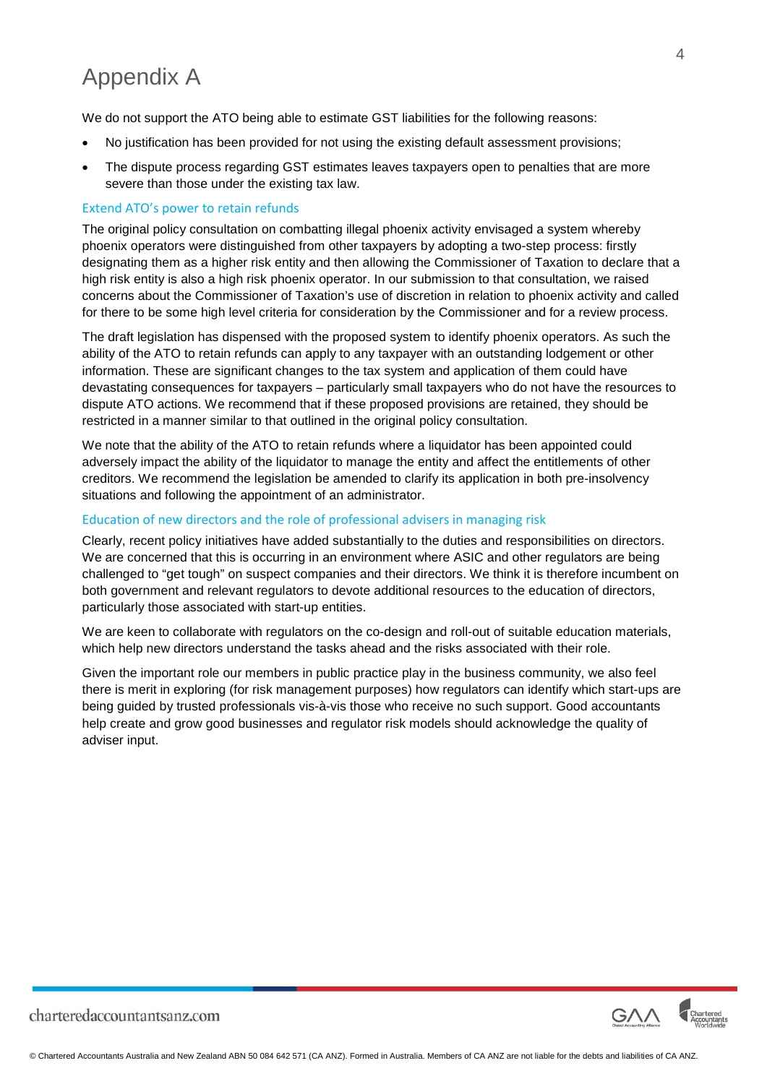# Appendix A

We do not support the ATO being able to estimate GST liabilities for the following reasons:

- No justification has been provided for not using the existing default assessment provisions;
- The dispute process regarding GST estimates leaves taxpayers open to penalties that are more severe than those under the existing tax law.

#### Extend ATO's power to retain refunds

The original policy consultation on combatting illegal phoenix activity envisaged a system whereby phoenix operators were distinguished from other taxpayers by adopting a two-step process: firstly designating them as a higher risk entity and then allowing the Commissioner of Taxation to declare that a high risk entity is also a high risk phoenix operator. In our submission to that consultation, we raised concerns about the Commissioner of Taxation's use of discretion in relation to phoenix activity and called for there to be some high level criteria for consideration by the Commissioner and for a review process.

The draft legislation has dispensed with the proposed system to identify phoenix operators. As such the ability of the ATO to retain refunds can apply to any taxpayer with an outstanding lodgement or other information. These are significant changes to the tax system and application of them could have devastating consequences for taxpayers – particularly small taxpayers who do not have the resources to dispute ATO actions. We recommend that if these proposed provisions are retained, they should be restricted in a manner similar to that outlined in the original policy consultation.

We note that the ability of the ATO to retain refunds where a liquidator has been appointed could adversely impact the ability of the liquidator to manage the entity and affect the entitlements of other creditors. We recommend the legislation be amended to clarify its application in both pre-insolvency situations and following the appointment of an administrator.

#### Education of new directors and the role of professional advisers in managing risk

Clearly, recent policy initiatives have added substantially to the duties and responsibilities on directors. We are concerned that this is occurring in an environment where ASIC and other regulators are being challenged to "get tough" on suspect companies and their directors. We think it is therefore incumbent on both government and relevant regulators to devote additional resources to the education of directors, particularly those associated with start-up entities.

We are keen to collaborate with regulators on the co-design and roll-out of suitable education materials, which help new directors understand the tasks ahead and the risks associated with their role.

Given the important role our members in public practice play in the business community, we also feel there is merit in exploring (for risk management purposes) how regulators can identify which start-ups are being guided by trusted professionals vis-à-vis those who receive no such support. Good accountants help create and grow good businesses and regulator risk models should acknowledge the quality of adviser input.



charteredaccountantsanz.com